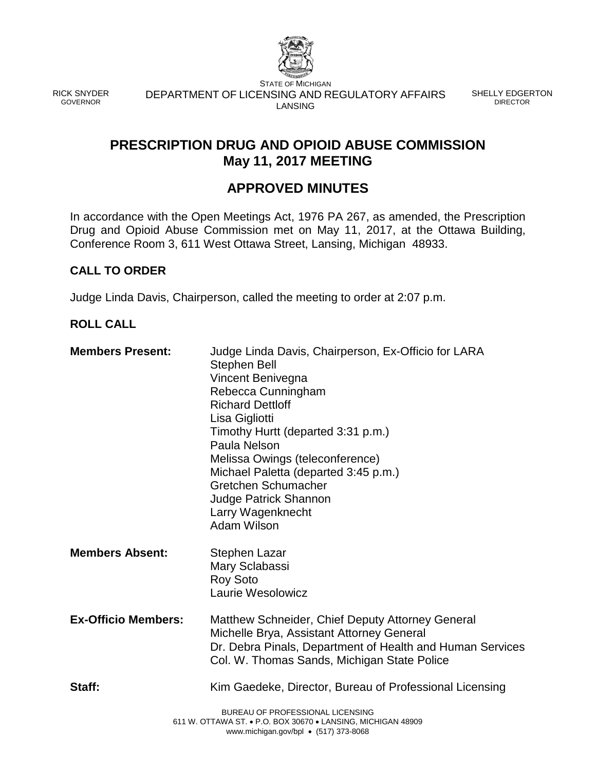

RICK SNYDER GOVERNOR

STATE OF MICHIGAN DEPARTMENT OF LICENSING AND REGULATORY AFFAIRS LANSING

SHELLY EDGERTON DIRECTOR

## **PRESCRIPTION DRUG AND OPIOID ABUSE COMMISSION May 11, 2017 MEETING**

# **APPROVED MINUTES**

In accordance with the Open Meetings Act, 1976 PA 267, as amended, the Prescription Drug and Opioid Abuse Commission met on May 11, 2017, at the Ottawa Building, Conference Room 3, 611 West Ottawa Street, Lansing, Michigan 48933.

## **CALL TO ORDER**

Judge Linda Davis, Chairperson, called the meeting to order at 2:07 p.m.

## **ROLL CALL**

| <b>Members Present:</b>    | Judge Linda Davis, Chairperson, Ex-Officio for LARA<br><b>Stephen Bell</b><br>Vincent Benivegna<br>Rebecca Cunningham<br><b>Richard Dettloff</b><br>Lisa Gigliotti<br>Timothy Hurtt (departed 3:31 p.m.)<br>Paula Nelson<br>Melissa Owings (teleconference)<br>Michael Paletta (departed 3:45 p.m.)<br>Gretchen Schumacher<br><b>Judge Patrick Shannon</b><br>Larry Wagenknecht<br>Adam Wilson |
|----------------------------|------------------------------------------------------------------------------------------------------------------------------------------------------------------------------------------------------------------------------------------------------------------------------------------------------------------------------------------------------------------------------------------------|
| <b>Members Absent:</b>     | Stephen Lazar<br>Mary Sclabassi<br><b>Roy Soto</b><br>Laurie Wesolowicz                                                                                                                                                                                                                                                                                                                        |
| <b>Ex-Officio Members:</b> | Matthew Schneider, Chief Deputy Attorney General<br>Michelle Brya, Assistant Attorney General<br>Dr. Debra Pinals, Department of Health and Human Services<br>Col. W. Thomas Sands, Michigan State Police                                                                                                                                                                                      |
| Staff:                     | Kim Gaedeke, Director, Bureau of Professional Licensing                                                                                                                                                                                                                                                                                                                                        |
|                            | BUREAU OF PROFESSIONAL LICENSING<br>611 W. OTTAWA ST. • P.O. BOX 30670 • LANSING, MICHIGAN 48909<br>www.michigan.gov/bpl • (517) 373-8068                                                                                                                                                                                                                                                      |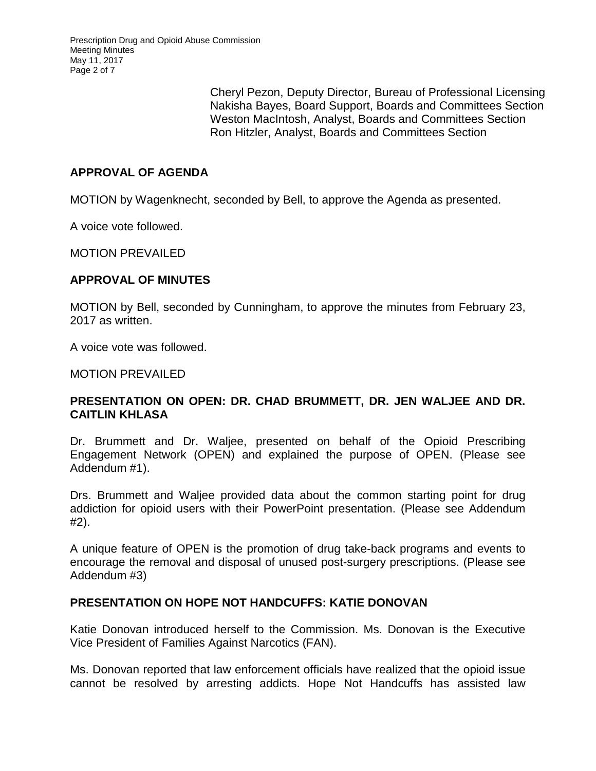Cheryl Pezon, Deputy Director, Bureau of Professional Licensing Nakisha Bayes, Board Support, Boards and Committees Section Weston MacIntosh, Analyst, Boards and Committees Section Ron Hitzler, Analyst, Boards and Committees Section

## **APPROVAL OF AGENDA**

MOTION by Wagenknecht, seconded by Bell, to approve the Agenda as presented.

A voice vote followed.

MOTION PREVAILED

## **APPROVAL OF MINUTES**

MOTION by Bell, seconded by Cunningham, to approve the minutes from February 23, 2017 as written.

A voice vote was followed.

MOTION PREVAILED

## **PRESENTATION ON OPEN: DR. CHAD BRUMMETT, DR. JEN WALJEE AND DR. CAITLIN KHLASA**

Dr. Brummett and Dr. Waljee, presented on behalf of the Opioid Prescribing Engagement Network (OPEN) and explained the purpose of OPEN. (Please see Addendum #1).

Drs. Brummett and Waljee provided data about the common starting point for drug addiction for opioid users with their PowerPoint presentation. (Please see Addendum #2).

A unique feature of OPEN is the promotion of drug take-back programs and events to encourage the removal and disposal of unused post-surgery prescriptions. (Please see Addendum #3)

## **PRESENTATION ON HOPE NOT HANDCUFFS: KATIE DONOVAN**

Katie Donovan introduced herself to the Commission. Ms. Donovan is the Executive Vice President of Families Against Narcotics (FAN).

Ms. Donovan reported that law enforcement officials have realized that the opioid issue cannot be resolved by arresting addicts. Hope Not Handcuffs has assisted law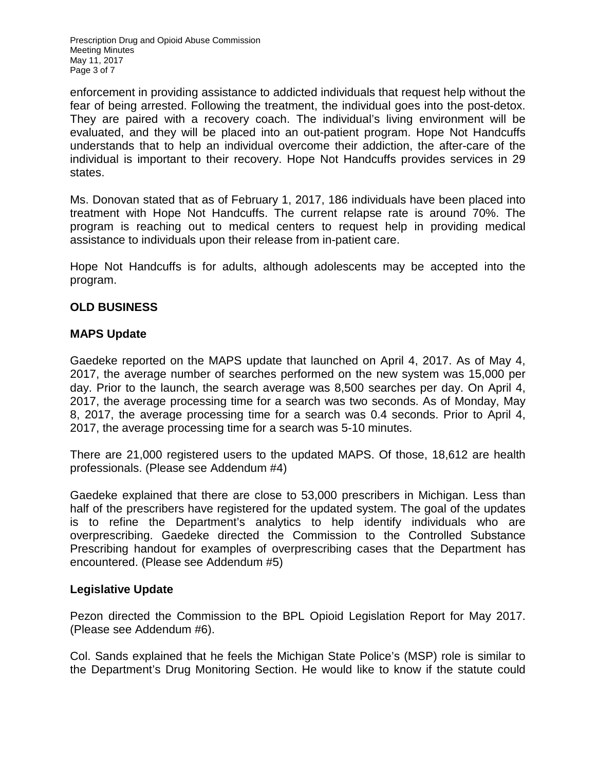Prescription Drug and Opioid Abuse Commission Meeting Minutes May 11, 2017 Page 3 of 7

enforcement in providing assistance to addicted individuals that request help without the fear of being arrested. Following the treatment, the individual goes into the post-detox. They are paired with a recovery coach. The individual's living environment will be evaluated, and they will be placed into an out-patient program. Hope Not Handcuffs understands that to help an individual overcome their addiction, the after-care of the individual is important to their recovery. Hope Not Handcuffs provides services in 29 states.

Ms. Donovan stated that as of February 1, 2017, 186 individuals have been placed into treatment with Hope Not Handcuffs. The current relapse rate is around 70%. The program is reaching out to medical centers to request help in providing medical assistance to individuals upon their release from in-patient care.

Hope Not Handcuffs is for adults, although adolescents may be accepted into the program.

## **OLD BUSINESS**

## **MAPS Update**

Gaedeke reported on the MAPS update that launched on April 4, 2017. As of May 4, 2017, the average number of searches performed on the new system was 15,000 per day. Prior to the launch, the search average was 8,500 searches per day. On April 4, 2017, the average processing time for a search was two seconds. As of Monday, May 8, 2017, the average processing time for a search was 0.4 seconds. Prior to April 4, 2017, the average processing time for a search was 5-10 minutes.

There are 21,000 registered users to the updated MAPS. Of those, 18,612 are health professionals. (Please see Addendum #4)

Gaedeke explained that there are close to 53,000 prescribers in Michigan. Less than half of the prescribers have registered for the updated system. The goal of the updates is to refine the Department's analytics to help identify individuals who are overprescribing. Gaedeke directed the Commission to the Controlled Substance Prescribing handout for examples of overprescribing cases that the Department has encountered. (Please see Addendum #5)

## **Legislative Update**

Pezon directed the Commission to the BPL Opioid Legislation Report for May 2017. (Please see Addendum #6).

Col. Sands explained that he feels the Michigan State Police's (MSP) role is similar to the Department's Drug Monitoring Section. He would like to know if the statute could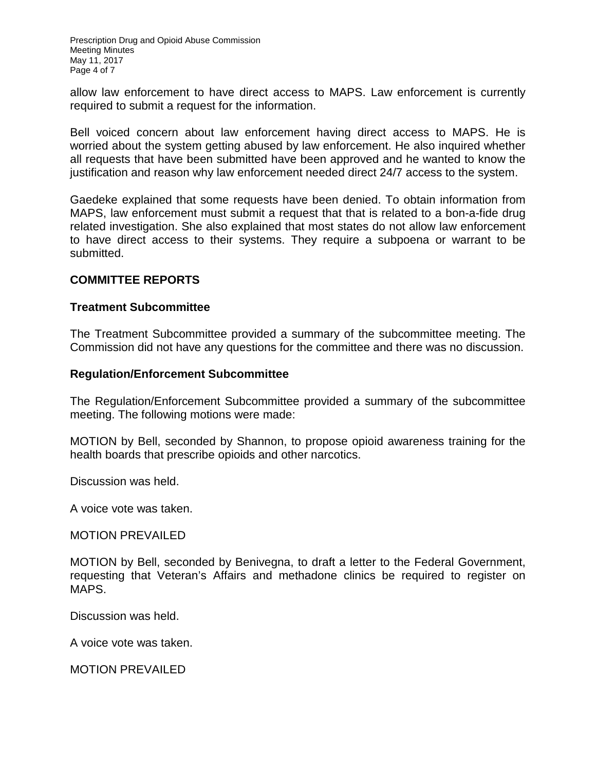Prescription Drug and Opioid Abuse Commission Meeting Minutes May 11, 2017 Page 4 of 7

allow law enforcement to have direct access to MAPS. Law enforcement is currently required to submit a request for the information.

Bell voiced concern about law enforcement having direct access to MAPS. He is worried about the system getting abused by law enforcement. He also inquired whether all requests that have been submitted have been approved and he wanted to know the justification and reason why law enforcement needed direct 24/7 access to the system.

Gaedeke explained that some requests have been denied. To obtain information from MAPS, law enforcement must submit a request that that is related to a bon-a-fide drug related investigation. She also explained that most states do not allow law enforcement to have direct access to their systems. They require a subpoena or warrant to be submitted.

## **COMMITTEE REPORTS**

#### **Treatment Subcommittee**

The Treatment Subcommittee provided a summary of the subcommittee meeting. The Commission did not have any questions for the committee and there was no discussion.

#### **Regulation/Enforcement Subcommittee**

The Regulation/Enforcement Subcommittee provided a summary of the subcommittee meeting. The following motions were made:

MOTION by Bell, seconded by Shannon, to propose opioid awareness training for the health boards that prescribe opioids and other narcotics.

Discussion was held.

A voice vote was taken.

MOTION PREVAILED

MOTION by Bell, seconded by Benivegna, to draft a letter to the Federal Government, requesting that Veteran's Affairs and methadone clinics be required to register on MAPS.

Discussion was held.

A voice vote was taken.

MOTION PREVAILED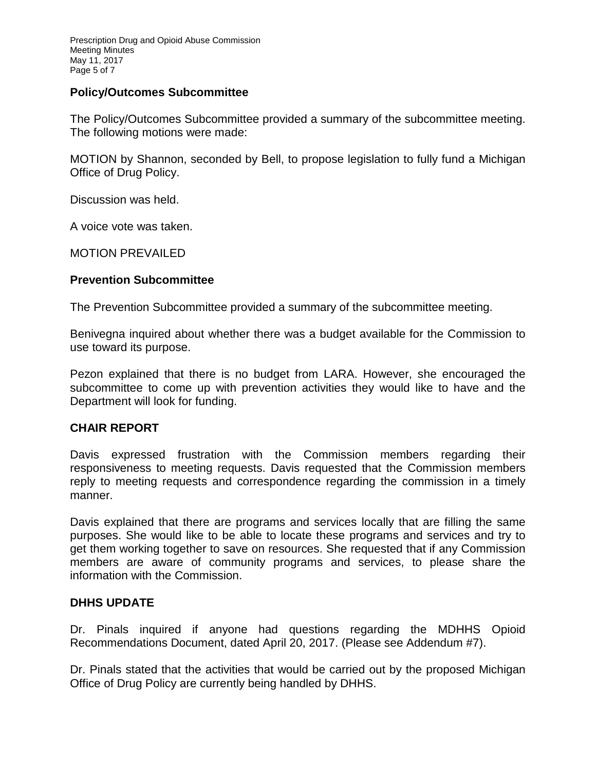Prescription Drug and Opioid Abuse Commission Meeting Minutes May 11, 2017 Page 5 of 7

### **Policy/Outcomes Subcommittee**

The Policy/Outcomes Subcommittee provided a summary of the subcommittee meeting. The following motions were made:

MOTION by Shannon, seconded by Bell, to propose legislation to fully fund a Michigan Office of Drug Policy.

Discussion was held.

A voice vote was taken.

MOTION PREVAILED

#### **Prevention Subcommittee**

The Prevention Subcommittee provided a summary of the subcommittee meeting.

Benivegna inquired about whether there was a budget available for the Commission to use toward its purpose.

Pezon explained that there is no budget from LARA. However, she encouraged the subcommittee to come up with prevention activities they would like to have and the Department will look for funding.

#### **CHAIR REPORT**

Davis expressed frustration with the Commission members regarding their responsiveness to meeting requests. Davis requested that the Commission members reply to meeting requests and correspondence regarding the commission in a timely manner.

Davis explained that there are programs and services locally that are filling the same purposes. She would like to be able to locate these programs and services and try to get them working together to save on resources. She requested that if any Commission members are aware of community programs and services, to please share the information with the Commission.

#### **DHHS UPDATE**

Dr. Pinals inquired if anyone had questions regarding the MDHHS Opioid Recommendations Document, dated April 20, 2017. (Please see Addendum #7).

Dr. Pinals stated that the activities that would be carried out by the proposed Michigan Office of Drug Policy are currently being handled by DHHS.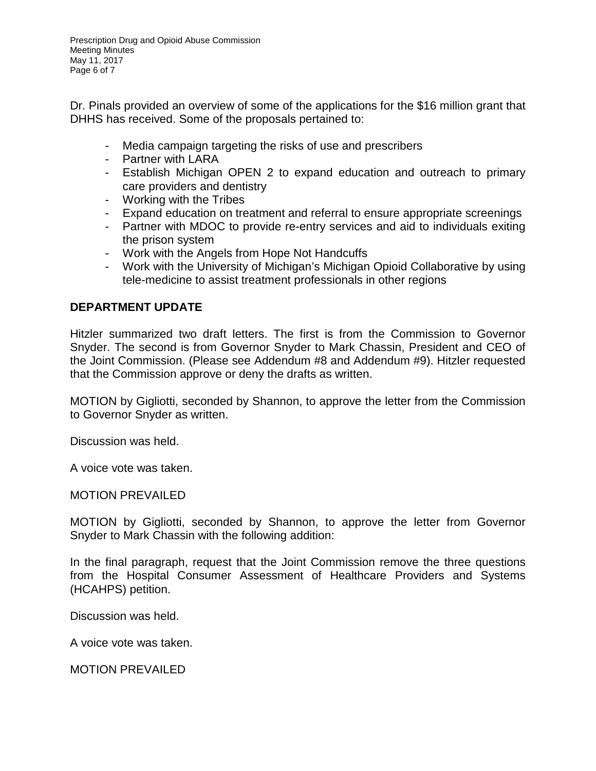Prescription Drug and Opioid Abuse Commission Meeting Minutes May 11, 2017 Page 6 of 7

Dr. Pinals provided an overview of some of the applications for the \$16 million grant that DHHS has received. Some of the proposals pertained to:

- Media campaign targeting the risks of use and prescribers
- Partner with LARA
- Establish Michigan OPEN 2 to expand education and outreach to primary care providers and dentistry
- Working with the Tribes
- Expand education on treatment and referral to ensure appropriate screenings
- Partner with MDOC to provide re-entry services and aid to individuals exiting the prison system
- Work with the Angels from Hope Not Handcuffs
- Work with the University of Michigan's Michigan Opioid Collaborative by using tele-medicine to assist treatment professionals in other regions

## **DEPARTMENT UPDATE**

Hitzler summarized two draft letters. The first is from the Commission to Governor Snyder. The second is from Governor Snyder to Mark Chassin, President and CEO of the Joint Commission. (Please see Addendum #8 and Addendum #9). Hitzler requested that the Commission approve or deny the drafts as written.

MOTION by Gigliotti, seconded by Shannon, to approve the letter from the Commission to Governor Snyder as written.

Discussion was held.

A voice vote was taken.

MOTION PREVAILED

MOTION by Gigliotti, seconded by Shannon, to approve the letter from Governor Snyder to Mark Chassin with the following addition:

In the final paragraph, request that the Joint Commission remove the three questions from the Hospital Consumer Assessment of Healthcare Providers and Systems (HCAHPS) petition.

Discussion was held.

A voice vote was taken.

MOTION PREVAILED